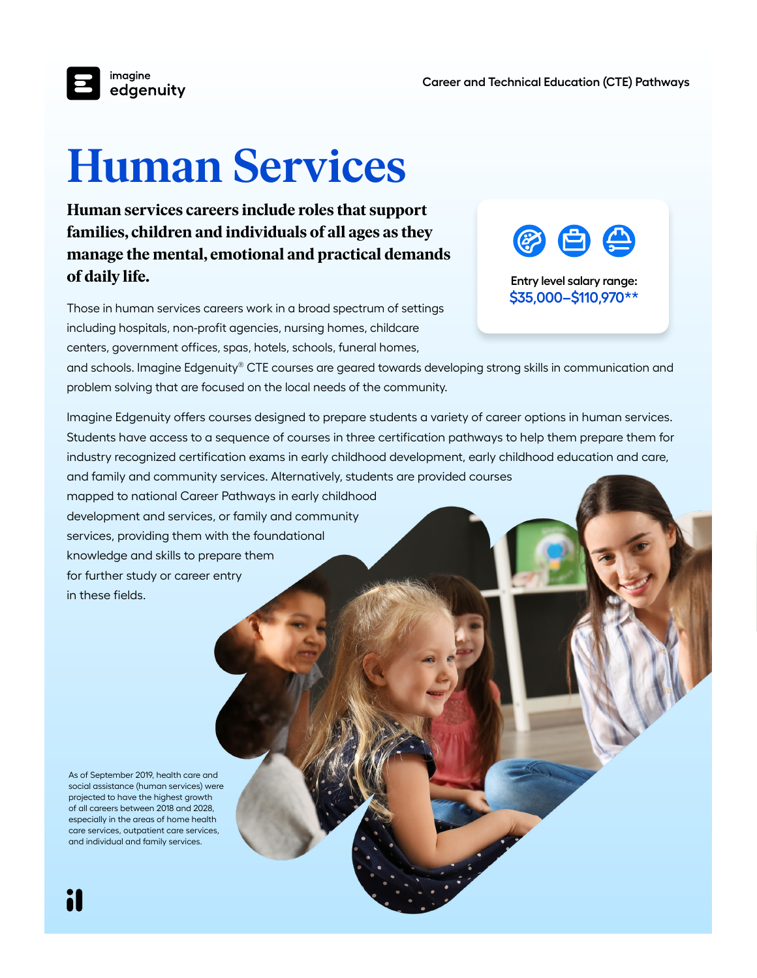

## **Human Services**

**Human services careers include roles that support families, children and individuals of all ages as they manage the mental, emotional and practical demands of daily life.** 

Those in human services careers work in a broad spectrum of settings including hospitals, non-profit agencies, nursing homes, childcare centers, government offices, spas, hotels, schools, funeral homes,



**Entry level salary range: \$35,000–\$110,970\*\***

and schools. Imagine Edgenuity® CTE courses are geared towards developing strong skills in communication and problem solving that are focused on the local needs of the community.

Imagine Edgenuity offers courses designed to prepare students a variety of career options in human services. Students have access to a sequence of courses in three certification pathways to help them prepare them for industry recognized certification exams in early childhood development, early childhood education and care, and family and community services. Alternatively, students are provided courses

mapped to national Career Pathways in early childhood development and services, or family and community services, providing them with the foundational knowledge and skills to prepare them for further study or career entry in these fields.

As of September 2019, health care and social assistance (human services) were projected to have the highest growth of all careers between 2018 and 2028, especially in the areas of home health care services, outpatient care services, and individual and family services.